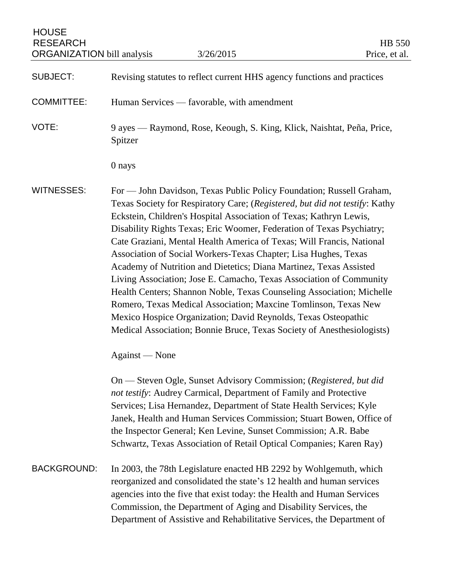| <b>HOUSE</b><br><b>RESEARCH</b><br><b>ORGANIZATION</b> bill analysis |                                                                                                                                                                                                                                                                                                                                                                                                                                                                                                                                                                                                                                                                                                                                                                                                                                                                                     | 3/26/2015                                                                                                                                                                                                                                                                                                                                                                                                                        | HB 550<br>Price, et al. |
|----------------------------------------------------------------------|-------------------------------------------------------------------------------------------------------------------------------------------------------------------------------------------------------------------------------------------------------------------------------------------------------------------------------------------------------------------------------------------------------------------------------------------------------------------------------------------------------------------------------------------------------------------------------------------------------------------------------------------------------------------------------------------------------------------------------------------------------------------------------------------------------------------------------------------------------------------------------------|----------------------------------------------------------------------------------------------------------------------------------------------------------------------------------------------------------------------------------------------------------------------------------------------------------------------------------------------------------------------------------------------------------------------------------|-------------------------|
| <b>SUBJECT:</b>                                                      |                                                                                                                                                                                                                                                                                                                                                                                                                                                                                                                                                                                                                                                                                                                                                                                                                                                                                     | Revising statutes to reflect current HHS agency functions and practices                                                                                                                                                                                                                                                                                                                                                          |                         |
| <b>COMMITTEE:</b>                                                    |                                                                                                                                                                                                                                                                                                                                                                                                                                                                                                                                                                                                                                                                                                                                                                                                                                                                                     | Human Services — favorable, with amendment                                                                                                                                                                                                                                                                                                                                                                                       |                         |
| VOTE:                                                                | Spitzer                                                                                                                                                                                                                                                                                                                                                                                                                                                                                                                                                                                                                                                                                                                                                                                                                                                                             | 9 ayes — Raymond, Rose, Keough, S. King, Klick, Naishtat, Peña, Price,                                                                                                                                                                                                                                                                                                                                                           |                         |
|                                                                      | 0 nays                                                                                                                                                                                                                                                                                                                                                                                                                                                                                                                                                                                                                                                                                                                                                                                                                                                                              |                                                                                                                                                                                                                                                                                                                                                                                                                                  |                         |
| <b>WITNESSES:</b>                                                    | For - John Davidson, Texas Public Policy Foundation; Russell Graham,<br>Texas Society for Respiratory Care; (Registered, but did not testify: Kathy<br>Eckstein, Children's Hospital Association of Texas; Kathryn Lewis,<br>Disability Rights Texas; Eric Woomer, Federation of Texas Psychiatry;<br>Cate Graziani, Mental Health America of Texas; Will Francis, National<br>Association of Social Workers-Texas Chapter; Lisa Hughes, Texas<br>Academy of Nutrition and Dietetics; Diana Martinez, Texas Assisted<br>Living Association; Jose E. Camacho, Texas Association of Community<br>Health Centers; Shannon Noble, Texas Counseling Association; Michelle<br>Romero, Texas Medical Association; Maxcine Tomlinson, Texas New<br>Mexico Hospice Organization; David Reynolds, Texas Osteopathic<br>Medical Association; Bonnie Bruce, Texas Society of Anesthesiologists) |                                                                                                                                                                                                                                                                                                                                                                                                                                  |                         |
|                                                                      | Against — None                                                                                                                                                                                                                                                                                                                                                                                                                                                                                                                                                                                                                                                                                                                                                                                                                                                                      |                                                                                                                                                                                                                                                                                                                                                                                                                                  |                         |
|                                                                      |                                                                                                                                                                                                                                                                                                                                                                                                                                                                                                                                                                                                                                                                                                                                                                                                                                                                                     | On — Steven Ogle, Sunset Advisory Commission; (Registered, but did<br>not testify: Audrey Carmical, Department of Family and Protective<br>Services; Lisa Hernandez, Department of State Health Services; Kyle<br>Janek, Health and Human Services Commission; Stuart Bowen, Office of<br>the Inspector General; Ken Levine, Sunset Commission; A.R. Babe<br>Schwartz, Texas Association of Retail Optical Companies; Karen Ray) |                         |
| <b>BACKGROUND:</b>                                                   |                                                                                                                                                                                                                                                                                                                                                                                                                                                                                                                                                                                                                                                                                                                                                                                                                                                                                     | In 2003, the 78th Legislature enacted HB 2292 by Wohlgemuth, which<br>reorganized and consolidated the state's 12 health and human services<br>agencies into the five that exist today: the Health and Human Services<br>Commission, the Department of Aging and Disability Services, the<br>Department of Assistive and Rehabilitative Services, the Department of                                                              |                         |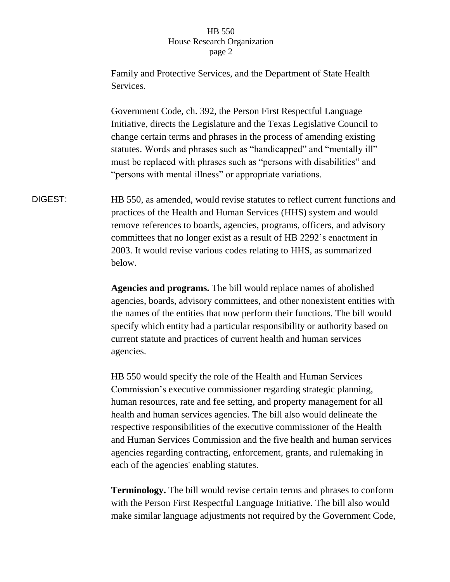Family and Protective Services, and the Department of State Health Services. Government Code, ch. 392, the Person First Respectful Language Initiative, directs the Legislature and the Texas Legislative Council to change certain terms and phrases in the process of amending existing statutes. Words and phrases such as "handicapped" and "mentally ill" must be replaced with phrases such as "persons with disabilities" and "persons with mental illness" or appropriate variations. DIGEST: HB 550, as amended, would revise statutes to reflect current functions and practices of the Health and Human Services (HHS) system and would remove references to boards, agencies, programs, officers, and advisory committees that no longer exist as a result of HB 2292's enactment in 2003. It would revise various codes relating to HHS, as summarized below.

> **Agencies and programs.** The bill would replace names of abolished agencies, boards, advisory committees, and other nonexistent entities with the names of the entities that now perform their functions. The bill would specify which entity had a particular responsibility or authority based on current statute and practices of current health and human services agencies.

> HB 550 would specify the role of the Health and Human Services Commission's executive commissioner regarding strategic planning, human resources, rate and fee setting, and property management for all health and human services agencies. The bill also would delineate the respective responsibilities of the executive commissioner of the Health and Human Services Commission and the five health and human services agencies regarding contracting, enforcement, grants, and rulemaking in each of the agencies' enabling statutes.

**Terminology.** The bill would revise certain terms and phrases to conform with the Person First Respectful Language Initiative. The bill also would make similar language adjustments not required by the Government Code,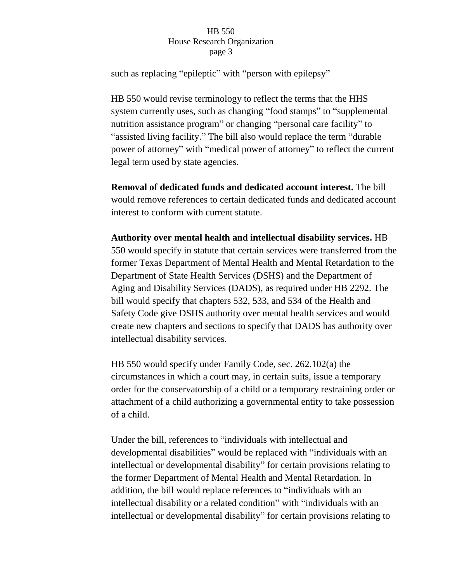such as replacing "epileptic" with "person with epilepsy"

HB 550 would revise terminology to reflect the terms that the HHS system currently uses, such as changing "food stamps" to "supplemental nutrition assistance program" or changing "personal care facility" to "assisted living facility." The bill also would replace the term "durable power of attorney" with "medical power of attorney" to reflect the current legal term used by state agencies.

**Removal of dedicated funds and dedicated account interest.** The bill would remove references to certain dedicated funds and dedicated account interest to conform with current statute.

**Authority over mental health and intellectual disability services.** HB 550 would specify in statute that certain services were transferred from the former Texas Department of Mental Health and Mental Retardation to the Department of State Health Services (DSHS) and the Department of Aging and Disability Services (DADS), as required under HB 2292. The bill would specify that chapters 532, 533, and 534 of the Health and Safety Code give DSHS authority over mental health services and would create new chapters and sections to specify that DADS has authority over intellectual disability services.

HB 550 would specify under Family Code, sec. 262.102(a) the circumstances in which a court may, in certain suits, issue a temporary order for the conservatorship of a child or a temporary restraining order or attachment of a child authorizing a governmental entity to take possession of a child.

Under the bill, references to "individuals with intellectual and developmental disabilities" would be replaced with "individuals with an intellectual or developmental disability" for certain provisions relating to the former Department of Mental Health and Mental Retardation. In addition, the bill would replace references to "individuals with an intellectual disability or a related condition" with "individuals with an intellectual or developmental disability" for certain provisions relating to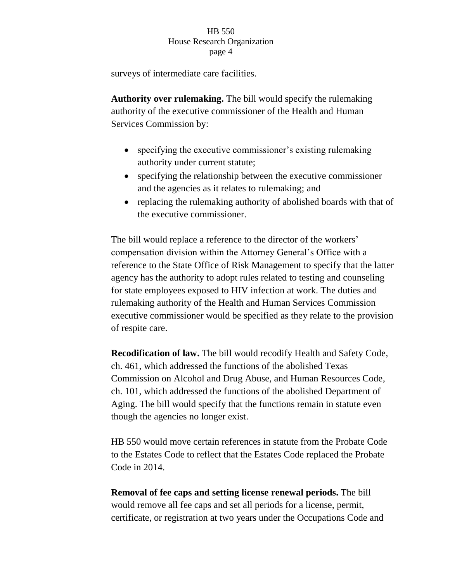surveys of intermediate care facilities.

**Authority over rulemaking.** The bill would specify the rulemaking authority of the executive commissioner of the Health and Human Services Commission by:

- specifying the executive commissioner's existing rulemaking authority under current statute;
- specifying the relationship between the executive commissioner and the agencies as it relates to rulemaking; and
- replacing the rulemaking authority of abolished boards with that of the executive commissioner.

The bill would replace a reference to the director of the workers' compensation division within the Attorney General's Office with a reference to the State Office of Risk Management to specify that the latter agency has the authority to adopt rules related to testing and counseling for state employees exposed to HIV infection at work. The duties and rulemaking authority of the Health and Human Services Commission executive commissioner would be specified as they relate to the provision of respite care.

**Recodification of law.** The bill would recodify Health and Safety Code, ch. 461, which addressed the functions of the abolished Texas Commission on Alcohol and Drug Abuse, and Human Resources Code, ch. 101, which addressed the functions of the abolished Department of Aging. The bill would specify that the functions remain in statute even though the agencies no longer exist.

HB 550 would move certain references in statute from the Probate Code to the Estates Code to reflect that the Estates Code replaced the Probate Code in 2014.

**Removal of fee caps and setting license renewal periods.** The bill would remove all fee caps and set all periods for a license, permit, certificate, or registration at two years under the Occupations Code and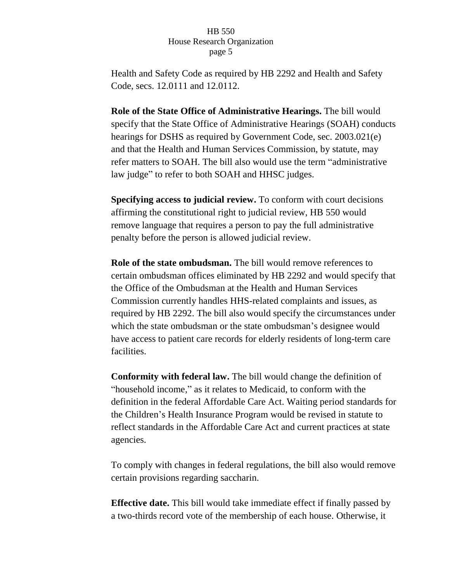Health and Safety Code as required by HB 2292 and Health and Safety Code, secs. 12.0111 and 12.0112.

**Role of the State Office of Administrative Hearings.** The bill would specify that the State Office of Administrative Hearings (SOAH) conducts hearings for DSHS as required by Government Code, sec. 2003.021(e) and that the Health and Human Services Commission, by statute, may refer matters to SOAH. The bill also would use the term "administrative law judge" to refer to both SOAH and HHSC judges.

**Specifying access to judicial review.** To conform with court decisions affirming the constitutional right to judicial review, HB 550 would remove language that requires a person to pay the full administrative penalty before the person is allowed judicial review.

**Role of the state ombudsman.** The bill would remove references to certain ombudsman offices eliminated by HB 2292 and would specify that the Office of the Ombudsman at the Health and Human Services Commission currently handles HHS-related complaints and issues, as required by HB 2292. The bill also would specify the circumstances under which the state ombudsman or the state ombudsman's designee would have access to patient care records for elderly residents of long-term care facilities.

**Conformity with federal law.** The bill would change the definition of "household income," as it relates to Medicaid, to conform with the definition in the federal Affordable Care Act. Waiting period standards for the Children's Health Insurance Program would be revised in statute to reflect standards in the Affordable Care Act and current practices at state agencies.

To comply with changes in federal regulations, the bill also would remove certain provisions regarding saccharin.

**Effective date.** This bill would take immediate effect if finally passed by a two-thirds record vote of the membership of each house. Otherwise, it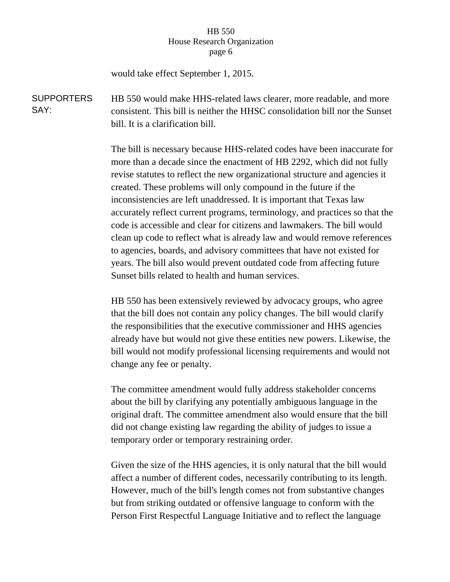would take effect September 1, 2015.

SUPPORTERS SAY: HB 550 would make HHS-related laws clearer, more readable, and more consistent. This bill is neither the HHSC consolidation bill nor the Sunset bill. It is a clarification bill.

> The bill is necessary because HHS-related codes have been inaccurate for more than a decade since the enactment of HB 2292, which did not fully revise statutes to reflect the new organizational structure and agencies it created. These problems will only compound in the future if the inconsistencies are left unaddressed. It is important that Texas law accurately reflect current programs, terminology, and practices so that the code is accessible and clear for citizens and lawmakers. The bill would clean up code to reflect what is already law and would remove references to agencies, boards, and advisory committees that have not existed for years. The bill also would prevent outdated code from affecting future Sunset bills related to health and human services.

> HB 550 has been extensively reviewed by advocacy groups, who agree that the bill does not contain any policy changes. The bill would clarify the responsibilities that the executive commissioner and HHS agencies already have but would not give these entities new powers. Likewise, the bill would not modify professional licensing requirements and would not change any fee or penalty.

> The committee amendment would fully address stakeholder concerns about the bill by clarifying any potentially ambiguous language in the original draft. The committee amendment also would ensure that the bill did not change existing law regarding the ability of judges to issue a temporary order or temporary restraining order.

> Given the size of the HHS agencies, it is only natural that the bill would affect a number of different codes, necessarily contributing to its length. However, much of the bill's length comes not from substantive changes but from striking outdated or offensive language to conform with the Person First Respectful Language Initiative and to reflect the language